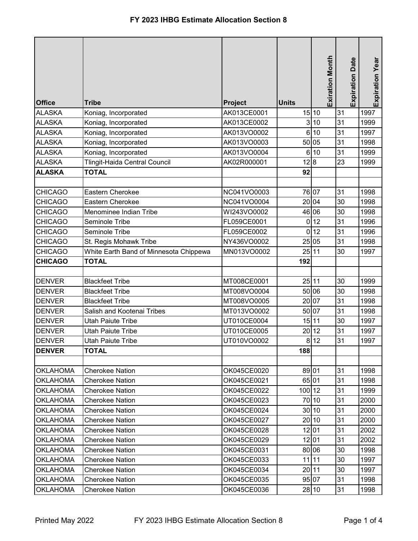| <b>Office</b>   | <b>Tribe</b>                           | Project     | <b>Units</b> | <b>Exiration Month</b> | Date<br>Expiration | <b>Expiration Year</b> |
|-----------------|----------------------------------------|-------------|--------------|------------------------|--------------------|------------------------|
| <b>ALASKA</b>   | Koniag, Incorporated                   | AK013CE0001 |              | 15 10                  | 31                 | 1997                   |
| <b>ALASKA</b>   | Koniag, Incorporated                   | AK013CE0002 |              | 3 10                   | 31                 | 1999                   |
| <b>ALASKA</b>   | Koniag, Incorporated                   | AK013VO0002 |              | 6 10                   | 31                 | 1997                   |
| <b>ALASKA</b>   | Koniag, Incorporated                   | AK013VO0003 |              | 50 05                  | 31                 | 1998                   |
| <b>ALASKA</b>   | Koniag, Incorporated                   | AK013VO0004 |              | 6 10                   | 31                 | 1999                   |
| <b>ALASKA</b>   | Tlingit-Haida Central Council          | AK02R000001 | 12 8         |                        | 23                 | 1999                   |
| <b>ALASKA</b>   | <b>TOTAL</b>                           |             | 92           |                        |                    |                        |
|                 |                                        |             |              |                        |                    |                        |
| <b>CHICAGO</b>  | Eastern Cherokee                       | NC041VO0003 |              | 76 07                  | 31                 | 1998                   |
| <b>CHICAGO</b>  | Eastern Cherokee                       | NC041VO0004 |              | 20 04                  | 30                 | 1998                   |
| <b>CHICAGO</b>  | Menominee Indian Tribe                 | WI243VO0002 |              | 46 06                  | 30                 | 1998                   |
| <b>CHICAGO</b>  | Seminole Tribe                         | FL059CE0001 |              | 0 12                   | 31                 | 1996                   |
| <b>CHICAGO</b>  | Seminole Tribe                         | FL059CE0002 | $\mathbf 0$  | 12                     | 31                 | 1996                   |
| <b>CHICAGO</b>  | St. Regis Mohawk Tribe                 | NY436VO0002 |              | 25 05                  | 31                 | 1998                   |
| <b>CHICAGO</b>  | White Earth Band of Minnesota Chippewa | MN013VO0002 |              | 25 11                  | 30                 | 1997                   |
| <b>CHICAGO</b>  | <b>TOTAL</b>                           |             | 192          |                        |                    |                        |
|                 |                                        |             |              |                        |                    |                        |
| <b>DENVER</b>   | <b>Blackfeet Tribe</b>                 | MT008CE0001 |              | 25 11                  | 30                 | 1999                   |
| <b>DENVER</b>   | <b>Blackfeet Tribe</b>                 | MT008VO0004 |              | 50 06                  | 30                 | 1998                   |
| <b>DENVER</b>   | <b>Blackfeet Tribe</b>                 | MT008VO0005 |              | 20 07                  | 31                 | 1998                   |
| <b>DENVER</b>   | Salish and Kootenai Tribes             | MT013VO0002 |              | 50 07                  | 31                 | 1998                   |
| <b>DENVER</b>   | Utah Paiute Tribe                      | UT010CE0004 |              | 15 11                  | 30                 | 1997                   |
| <b>DENVER</b>   | <b>Utah Paiute Tribe</b>               | UT010CE0005 | 20           | 12                     | 31                 | 1997                   |
| <b>DENVER</b>   | Utah Paiute Tribe                      | UT010VO0002 |              | 8 12                   | 31                 | 1997                   |
| <b>DENVER</b>   | <b>TOTAL</b>                           |             | 188          |                        |                    |                        |
| <b>OKLAHOMA</b> | <b>Cherokee Nation</b>                 | OK045CE0020 |              | 89 01                  | 31                 | 1998                   |
| <b>OKLAHOMA</b> | <b>Cherokee Nation</b>                 | OK045CE0021 |              | 65 01                  | 31                 | 1998                   |
| <b>OKLAHOMA</b> | <b>Cherokee Nation</b>                 | OK045CE0022 | 100 12       |                        | 31                 | 1999                   |
| <b>OKLAHOMA</b> | <b>Cherokee Nation</b>                 | OK045CE0023 |              | 70 10                  | 31                 | 2000                   |
| <b>OKLAHOMA</b> | <b>Cherokee Nation</b>                 | OK045CE0024 |              | 30 10                  | 31                 | 2000                   |
| <b>OKLAHOMA</b> | <b>Cherokee Nation</b>                 | OK045CE0027 |              | 20 10                  | 31                 | 2000                   |
| <b>OKLAHOMA</b> | <b>Cherokee Nation</b>                 | OK045CE0028 |              | 12 01                  | 31                 | 2002                   |
| <b>OKLAHOMA</b> | <b>Cherokee Nation</b>                 | OK045CE0029 |              | 12 01                  | 31                 | 2002                   |
| <b>OKLAHOMA</b> | <b>Cherokee Nation</b>                 | OK045CE0031 |              | 80 06                  | 30                 | 1998                   |
| <b>OKLAHOMA</b> | <b>Cherokee Nation</b>                 | OK045CE0033 |              | 11 11                  | 30                 | 1997                   |
| <b>OKLAHOMA</b> | <b>Cherokee Nation</b>                 | OK045CE0034 |              | 20 11                  | 30                 | 1997                   |
| <b>OKLAHOMA</b> |                                        | OK045CE0035 |              | 95 07                  |                    | 1998                   |
|                 | <b>Cherokee Nation</b>                 |             |              |                        | 31                 |                        |
| <b>OKLAHOMA</b> | <b>Cherokee Nation</b>                 | OK045CE0036 |              | 28 10                  | 31                 | 1998                   |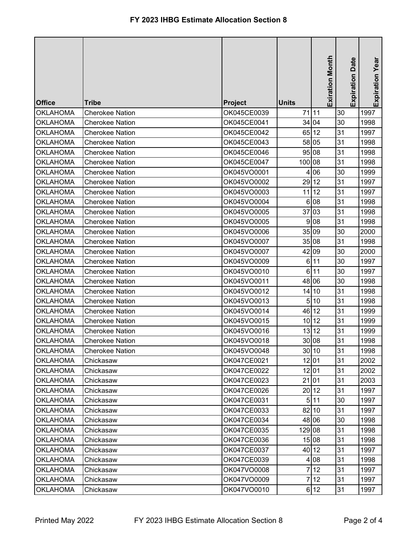| <b>Office</b>   | <b>Tribe</b>           | <b>Project</b> | <b>Units</b> | <b>Exiration Month</b> |    | Date<br>Expiration | Expiration Year |
|-----------------|------------------------|----------------|--------------|------------------------|----|--------------------|-----------------|
| <b>OKLAHOMA</b> | <b>Cherokee Nation</b> | OK045CE0039    |              | 71 11                  | 30 |                    | 1997            |
| <b>OKLAHOMA</b> | <b>Cherokee Nation</b> | OK045CE0041    |              | 34 04                  | 30 |                    | 1998            |
| <b>OKLAHOMA</b> | <b>Cherokee Nation</b> | OK045CE0042    |              | 65 12                  | 31 |                    | 1997            |
| <b>OKLAHOMA</b> | <b>Cherokee Nation</b> | OK045CE0043    |              | 58 05                  | 31 |                    | 1998            |
| <b>OKLAHOMA</b> | <b>Cherokee Nation</b> | OK045CE0046    |              | 95 08                  | 31 |                    | 1998            |
| <b>OKLAHOMA</b> | <b>Cherokee Nation</b> | OK045CE0047    | 100          | 08                     | 31 |                    | 1998            |
| <b>OKLAHOMA</b> | <b>Cherokee Nation</b> | OK045VO0001    | 4            | 06                     | 30 |                    | 1999            |
| <b>OKLAHOMA</b> | <b>Cherokee Nation</b> | OK045VO0002    |              | 29 12                  | 31 |                    | 1997            |
| <b>OKLAHOMA</b> | <b>Cherokee Nation</b> | OK045VO0003    | 11           | 12                     | 31 |                    | 1997            |
| <b>OKLAHOMA</b> | <b>Cherokee Nation</b> | OK045VO0004    | 6            | 08                     | 31 |                    | 1998            |
| <b>OKLAHOMA</b> | <b>Cherokee Nation</b> | OK045VO0005    |              | 37 03                  | 31 |                    | 1998            |
| <b>OKLAHOMA</b> | <b>Cherokee Nation</b> | OK045VO0005    | 9            | 08                     | 31 |                    | 1998            |
| <b>OKLAHOMA</b> | <b>Cherokee Nation</b> | OK045VO0006    |              | 35 09                  | 30 |                    | 2000            |
| <b>OKLAHOMA</b> | <b>Cherokee Nation</b> | OK045VO0007    |              | 35 08                  | 31 |                    | 1998            |
| <b>OKLAHOMA</b> | <b>Cherokee Nation</b> | OK045VO0007    |              | 42 09                  | 30 |                    | 2000            |
| <b>OKLAHOMA</b> | <b>Cherokee Nation</b> | OK045VO0009    |              | 6 11                   | 30 |                    | 1997            |
| <b>OKLAHOMA</b> | <b>Cherokee Nation</b> | OK045VO0010    |              | 6 11                   | 30 |                    | 1997            |
| <b>OKLAHOMA</b> | <b>Cherokee Nation</b> | OK045VO0011    |              | 48 06                  | 30 |                    | 1998            |
| <b>OKLAHOMA</b> | <b>Cherokee Nation</b> | OK045VO0012    |              | 14 10                  | 31 |                    | 1998            |
| <b>OKLAHOMA</b> | <b>Cherokee Nation</b> | OK045VO0013    | 5            | 10                     | 31 |                    | 1998            |
| <b>OKLAHOMA</b> | <b>Cherokee Nation</b> | OK045VO0014    |              | 46 12                  | 31 |                    | 1999            |
| <b>OKLAHOMA</b> | <b>Cherokee Nation</b> | OK045VO0015    |              | 10 12                  | 31 |                    | 1999            |
| <b>OKLAHOMA</b> | <b>Cherokee Nation</b> | OK045VO0016    |              | 13 12                  | 31 |                    | 1999            |
| <b>OKLAHOMA</b> | <b>Cherokee Nation</b> | OK045VO0018    |              | 30 08                  | 31 |                    | 1998            |
| <b>OKLAHOMA</b> | <b>Cherokee Nation</b> | OK045VO0048    |              | 30 10                  | 31 |                    | 1998            |
| <b>OKLAHOMA</b> | Chickasaw              | OK047CE0021    |              | 12 01                  | 31 |                    | 2002            |
| <b>OKLAHOMA</b> | Chickasaw              | OK047CE0022    |              | 12 01                  | 31 |                    | 2002            |
| <b>OKLAHOMA</b> | Chickasaw              | OK047CE0023    |              | 21 01                  | 31 |                    | 2003            |
| <b>OKLAHOMA</b> | Chickasaw              | OK047CE0026    |              | 20 12                  | 31 |                    | 1997            |
| <b>OKLAHOMA</b> | Chickasaw              | OK047CE0031    |              | 5 11                   | 30 |                    | 1997            |
| <b>OKLAHOMA</b> | Chickasaw              | OK047CE0033    |              | 82 10                  | 31 |                    | 1997            |
| <b>OKLAHOMA</b> | Chickasaw              | OK047CE0034    |              | 48 06                  | 30 |                    | 1998            |
| <b>OKLAHOMA</b> | Chickasaw              | OK047CE0035    | 129 08       |                        | 31 |                    | 1998            |
| <b>OKLAHOMA</b> | Chickasaw              | OK047CE0036    |              | 15 08                  | 31 |                    | 1998            |
| <b>OKLAHOMA</b> | Chickasaw              | OK047CE0037    |              | 40 12                  | 31 |                    | 1997            |
| <b>OKLAHOMA</b> | Chickasaw              | OK047CE0039    | 4            | 08                     | 31 |                    | 1998            |
| <b>OKLAHOMA</b> | Chickasaw              | OK047VO0008    | 7            | 12                     | 31 |                    | 1997            |
| <b>OKLAHOMA</b> | Chickasaw              | OK047VO0009    |              | 712                    | 31 |                    | 1997            |
| <b>OKLAHOMA</b> | Chickasaw              | OK047VO0010    |              | 6 12                   | 31 |                    | 1997            |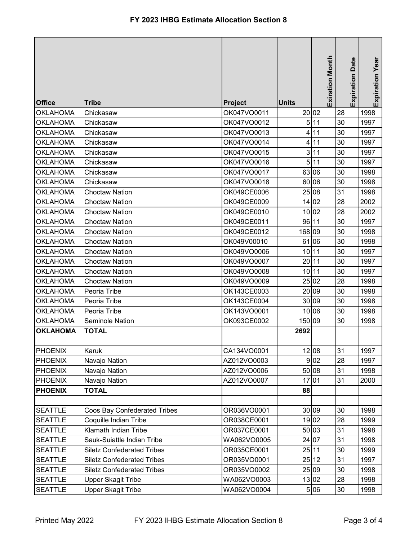|                 |                                     |                |              | Exiration Month |    | Date<br>Expiration | Expiration Year |
|-----------------|-------------------------------------|----------------|--------------|-----------------|----|--------------------|-----------------|
| <b>Office</b>   | <b>Tribe</b>                        | <b>Project</b> | <b>Units</b> |                 |    |                    |                 |
| <b>OKLAHOMA</b> | Chickasaw                           | OK047VO0011    |              | 20 02           | 28 |                    | 1998            |
| <b>OKLAHOMA</b> | Chickasaw                           | OK047VO0012    |              | 5 11            | 30 |                    | 1997            |
| <b>OKLAHOMA</b> | Chickasaw                           | OK047VO0013    | 4            | 11              | 30 |                    | 1997            |
| <b>OKLAHOMA</b> | Chickasaw                           | OK047VO0014    | 4            | 11              | 30 |                    | 1997            |
| <b>OKLAHOMA</b> | Chickasaw                           | OK047VO0015    | 3            | 11              | 30 |                    | 1997            |
| <b>OKLAHOMA</b> | Chickasaw                           | OK047VO0016    | 5            | 11              | 30 |                    | 1997            |
| <b>OKLAHOMA</b> | Chickasaw                           | OK047VO0017    |              | 63 06           | 30 |                    | 1998            |
| <b>OKLAHOMA</b> | Chickasaw                           | OK047VO0018    | 60           | 106             | 30 |                    | 1998            |
| <b>OKLAHOMA</b> | <b>Choctaw Nation</b>               | OK049CE0006    |              | 25 08           | 31 |                    | 1998            |
| <b>OKLAHOMA</b> | <b>Choctaw Nation</b>               | OK049CE0009    |              | 14 02           | 28 |                    | 2002            |
| <b>OKLAHOMA</b> | <b>Choctaw Nation</b>               | OK049CE0010    |              | 10 02           | 28 |                    | 2002            |
| <b>OKLAHOMA</b> | <b>Choctaw Nation</b>               | OK049CE0011    |              | 96 11           | 30 |                    | 1997            |
| <b>OKLAHOMA</b> | <b>Choctaw Nation</b>               | OK049CE0012    | 168 09       |                 | 30 |                    | 1998            |
| <b>OKLAHOMA</b> | <b>Choctaw Nation</b>               | OK049V00010    | 61           | 06              | 30 |                    | 1998            |
| <b>OKLAHOMA</b> | <b>Choctaw Nation</b>               | OK049VO0006    |              | 10 11           | 30 |                    | 1997            |
| <b>OKLAHOMA</b> | <b>Choctaw Nation</b>               | OK049VO0007    | 20           | 11              | 30 |                    | 1997            |
| <b>OKLAHOMA</b> | <b>Choctaw Nation</b>               | OK049VO0008    | 10           | 11              | 30 |                    | 1997            |
| <b>OKLAHOMA</b> | <b>Choctaw Nation</b>               | OK049VO0009    |              | 25 02           | 28 |                    | 1998            |
| <b>OKLAHOMA</b> | Peoria Tribe                        | OK143CE0003    | 20           | 09              | 30 |                    | 1998            |
| <b>OKLAHOMA</b> | Peoria Tribe                        | OK143CE0004    |              | 30 09           | 30 |                    | 1998            |
| <b>OKLAHOMA</b> | Peoria Tribe                        | OK143VO0001    |              | 10 06           | 30 |                    | 1998            |
| <b>OKLAHOMA</b> | <b>Seminole Nation</b>              | OK093CE0002    | 150 09       |                 | 30 |                    | 1998            |
| <b>OKLAHOMA</b> | <b>TOTAL</b>                        |                | 2692         |                 |    |                    |                 |
|                 |                                     |                |              |                 |    |                    |                 |
| <b>PHOENIX</b>  | Karuk                               | CA134VO0001    |              | 12 08           | 31 |                    | 1997            |
| <b>PHOENIX</b>  | Navajo Nation                       | AZ012VO0003    |              | 9 <sub>02</sub> | 28 |                    | 1997            |
| <b>PHOENIX</b>  | Navajo Nation                       | AZ012VO0006    |              | 50 08           | 31 |                    | 1998            |
| <b>PHOENIX</b>  | Navajo Nation                       | AZ012VO0007    |              | 17 01           | 31 |                    | 2000            |
| <b>PHOENIX</b>  | <b>TOTAL</b>                        |                | 88           |                 |    |                    |                 |
|                 |                                     |                |              |                 |    |                    |                 |
| <b>SEATTLE</b>  | <b>Coos Bay Confederated Tribes</b> | OR036VO0001    |              | 30 09           | 30 |                    | 1998            |
| <b>SEATTLE</b>  | Coquille Indian Tribe               | OR038CE0001    |              | 19 02           | 28 |                    | 1999            |
| <b>SEATTLE</b>  | Klamath Indian Tribe                | OR037CE0001    |              | 50 03           | 31 |                    | 1998            |
| <b>SEATTLE</b>  | Sauk-Suiattle Indian Tribe          | WA062VO0005    |              | 24 07           | 31 |                    | 1998            |
| <b>SEATTLE</b>  | <b>Siletz Confederated Tribes</b>   | OR035CE0001    |              | 25 11           | 30 |                    | 1999            |
| <b>SEATTLE</b>  | <b>Siletz Confederated Tribes</b>   | OR035VO0001    |              | 25 12           | 31 |                    | 1997            |
| <b>SEATTLE</b>  | <b>Siletz Confederated Tribes</b>   | OR035VO0002    |              | 25 09           | 30 |                    | 1998            |
| <b>SEATTLE</b>  | <b>Upper Skagit Tribe</b>           | WA062VO0003    |              | 13 02           | 28 |                    | 1998            |
| <b>SEATTLE</b>  | <b>Upper Skagit Tribe</b>           | WA062VO0004    |              | 5 06            | 30 |                    | 1998            |